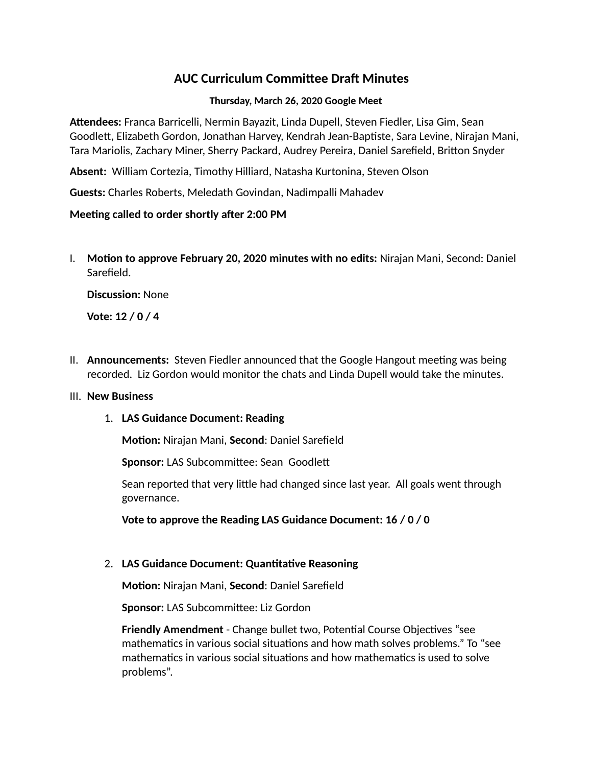# **AUC Curriculum Committee Draft Minutes**

### **Thursday, March 26, 2020 Google Meet**

**Attendees:** Franca Barricelli, Nermin Bayazit, Linda Dupell, Steven Fiedler, Lisa Gim, Sean Goodlett, Elizabeth Gordon, Jonathan Harvey, Kendrah Jean-Baptiste, Sara Levine, Nirajan Mani, Tara Mariolis, Zachary Miner, Sherry Packard, Audrey Pereira, Daniel Sarefield, Britton Snyder

**Absent:** William Cortezia, Timothy Hilliard, Natasha Kurtonina, Steven Olson

**Guests:** Charles Roberts, Meledath Govindan, Nadimpalli Mahadev

## **Meeting called to order shortly after 2:00 PM**

I. **Motion to approve February 20, 2020 minutes with no edits:** Nirajan Mani, Second: Daniel Sarefield.

**Discussion:** None

**Vote: 12 / 0 / 4** 

II. **Announcements:** Steven Fiedler announced that the Google Hangout meeting was being recorded. Liz Gordon would monitor the chats and Linda Dupell would take the minutes.

#### III. **New Business**

1. **LAS Guidance Document: Reading**

**Motion:** Nirajan Mani, **Second**: Daniel Sarefield

**Sponsor:** LAS Subcommittee: Sean Goodlett

Sean reported that very little had changed since last year. All goals went through governance.

**Vote to approve the Reading LAS Guidance Document: 16 / 0 / 0**

# 2. **LAS Guidance Document: Quantitative Reasoning**

**Motion:** Nirajan Mani, **Second**: Daniel Sarefield

**Sponsor:** LAS Subcommittee: Liz Gordon

**Friendly Amendment** - Change bullet two, Potential Course Objectives "see mathematics in various social situations and how math solves problems." To "see mathematics in various social situations and how mathematics is used to solve problems".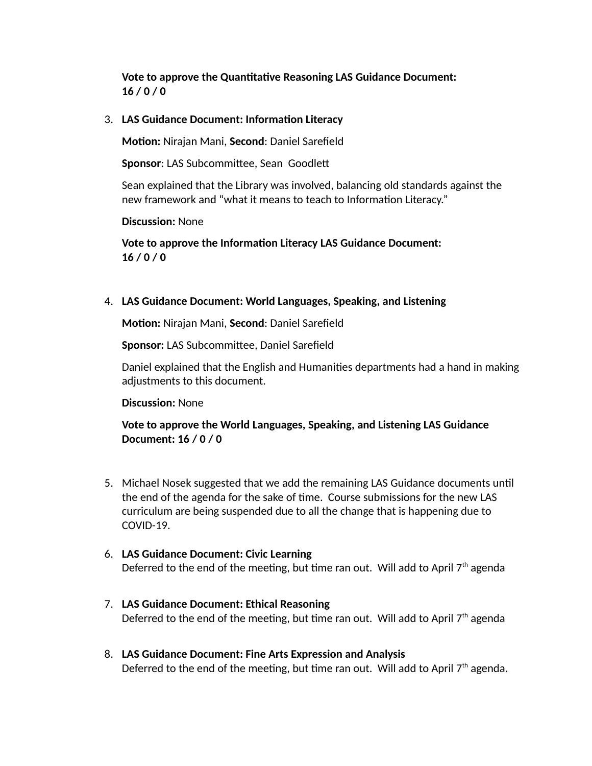**Vote to approve the Quantitative Reasoning LAS Guidance Document: 16 / 0 / 0**

3. **LAS Guidance Document: Information Literacy**

**Motion:** Nirajan Mani, **Second**: Daniel Sarefield

**Sponsor**: LAS Subcommittee, Sean Goodlett

Sean explained that the Library was involved, balancing old standards against the new framework and "what it means to teach to Information Literacy."

**Discussion:** None

**Vote to approve the Information Literacy LAS Guidance Document: 16 / 0 / 0**

4. **LAS Guidance Document: World Languages, Speaking, and Listening**

**Motion:** Nirajan Mani, **Second**: Daniel Sarefield

**Sponsor:** LAS Subcommittee, Daniel Sarefield

Daniel explained that the English and Humanities departments had a hand in making adjustments to this document.

**Discussion:** None

**Vote to approve the World Languages, Speaking, and Listening LAS Guidance Document: 16 / 0 / 0**

- 5. Michael Nosek suggested that we add the remaining LAS Guidance documents until the end of the agenda for the sake of time. Course submissions for the new LAS curriculum are being suspended due to all the change that is happening due to COVID-19.
- 6. **LAS Guidance Document: Civic Learning** Deferred to the end of the meeting, but time ran out. Will add to April  $7<sup>th</sup>$  agenda
- 7. **LAS Guidance Document: Ethical Reasoning** Deferred to the end of the meeting, but time ran out. Will add to April  $7<sup>th</sup>$  agenda
- 8. **LAS Guidance Document: Fine Arts Expression and Analysis**  Deferred to the end of the meeting, but time ran out. Will add to April  $7<sup>th</sup>$  agenda.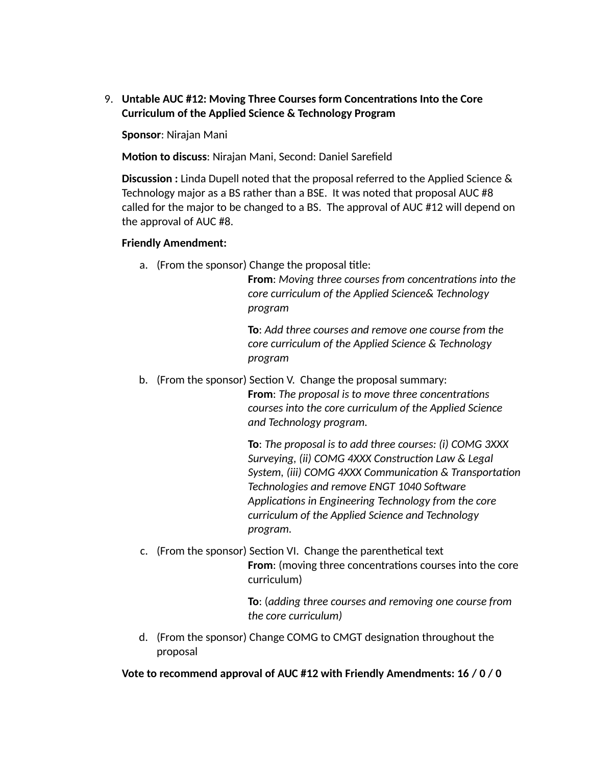9. **Untable AUC #12: Moving Three Courses form Concentrations Into the Core Curriculum of the Applied Science & Technology Program** 

**Sponsor**: Nirajan Mani

**Motion to discuss**: Nirajan Mani, Second: Daniel Sarefield

**Discussion :** Linda Dupell noted that the proposal referred to the Applied Science & Technology major as a BS rather than a BSE. It was noted that proposal AUC #8 called for the major to be changed to a BS. The approval of AUC #12 will depend on the approval of AUC #8.

#### **Friendly Amendment:**

a. (From the sponsor) Change the proposal title:

**From**: *Moving three courses from concentrations into the core curriculum of the Applied Science& Technology program* 

**To**: *Add three courses and remove one course from the core curriculum of the Applied Science & Technology program*

b. (From the sponsor) Section V. Change the proposal summary:

**From**: *The proposal is to move three concentrations courses into the core curriculum of the Applied Science and Technology program.*

**To**: *The proposal is to add three courses: (i) COMG 3XXX Surveying, (ii) COMG 4XXX Construction Law & Legal System, (iii) COMG 4XXX Communication & Transportation Technologies and remove ENGT 1040 Software Applications in Engineering Technology from the core curriculum of the Applied Science and Technology program.* 

c. (From the sponsor) Section VI. Change the parenthetical text **From**: (moving three concentrations courses into the core curriculum)

> **To**: (*adding three courses and removing one course from the core curriculum)*

d. (From the sponsor) Change COMG to CMGT designation throughout the proposal

**Vote to recommend approval of AUC #12 with Friendly Amendments: 16 / 0 / 0**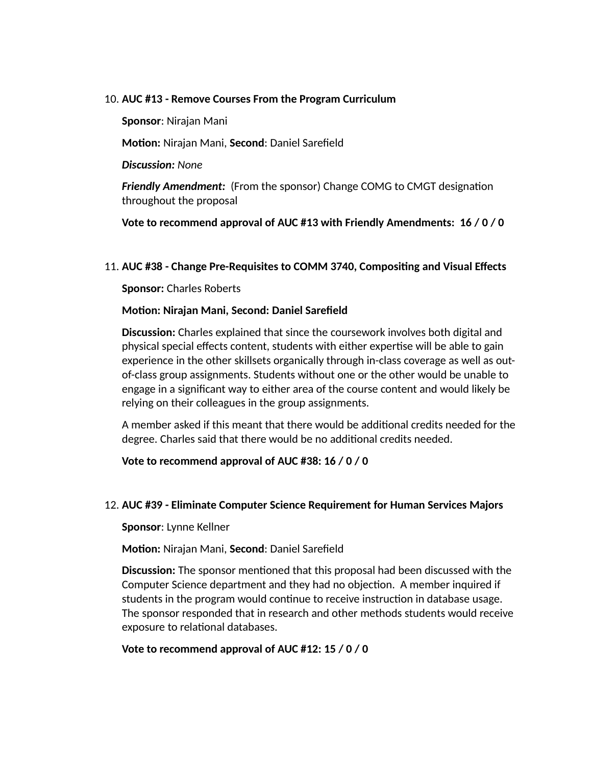#### 10. **AUC #13 - Remove Courses From the Program Curriculum**

**Sponsor**: Nirajan Mani

**Motion:** Nirajan Mani, **Second**: Daniel Sarefield

*Discussion: None*

*Friendly Amendment:* (From the sponsor) Change COMG to CMGT designation throughout the proposal

**Vote to recommend approval of AUC #13 with Friendly Amendments: 16 / 0 / 0**

#### 11. **AUC #38 - Change Pre-Requisites to COMM 3740, Compositing and Visual Effects**

**Sponsor:** Charles Roberts

#### **Motion: Nirajan Mani, Second: Daniel Sarefield**

**Discussion:** Charles explained that since the coursework involves both digital and physical special effects content, students with either expertise will be able to gain experience in the other skillsets organically through in-class coverage as well as outof-class group assignments. Students without one or the other would be unable to engage in a significant way to either area of the course content and would likely be relying on their colleagues in the group assignments.

A member asked if this meant that there would be additional credits needed for the degree. Charles said that there would be no additional credits needed.

**Vote to recommend approval of AUC #38: 16 / 0 / 0**

#### 12. **AUC #39 - Eliminate Computer Science Requirement for Human Services Majors**

**Sponsor**: Lynne Kellner

**Motion:** Nirajan Mani, **Second**: Daniel Sarefield

**Discussion:** The sponsor mentioned that this proposal had been discussed with the Computer Science department and they had no objection. A member inquired if students in the program would continue to receive instruction in database usage. The sponsor responded that in research and other methods students would receive exposure to relational databases.

# **Vote to recommend approval of AUC #12: 15 / 0 / 0**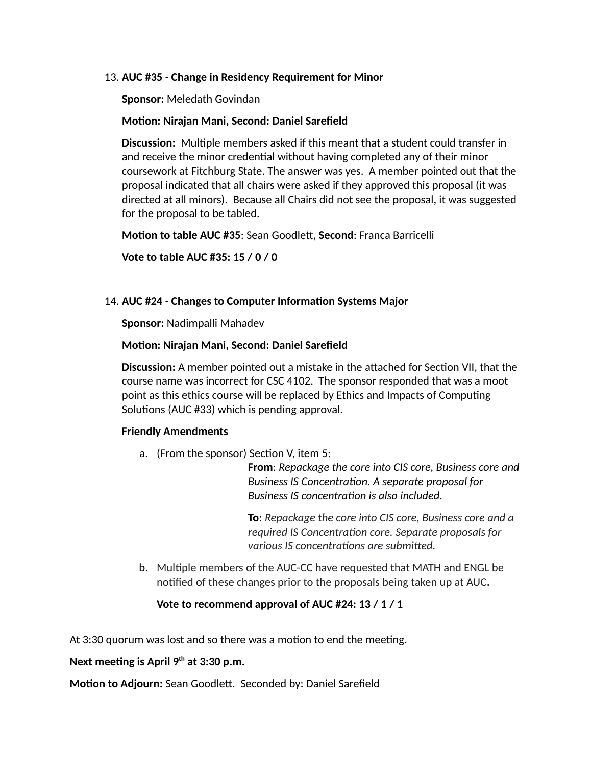#### 13. **AUC #35 - Change in Residency Requirement for Minor**

**Sponsor:** Meledath Govindan

#### **Motion: Nirajan Mani, Second: Daniel Sarefield**

**Discussion:** Multiple members asked if this meant that a student could transfer in and receive the minor credential without having completed any of their minor coursework at Fitchburg State. The answer was yes. A member pointed out that the proposal indicated that all chairs were asked if they approved this proposal (it was directed at all minors). Because all Chairs did not see the proposal, it was suggested for the proposal to be tabled.

**Motion to table AUC #35**: Sean Goodlett, **Second**: Franca Barricelli

**Vote to table AUC #35: 15 / 0 / 0**

## 14. **AUC #24 - Changes to Computer Information Systems Major**

**Sponsor:** Nadimpalli Mahadev

## **Motion: Nirajan Mani, Second: Daniel Sarefield**

**Discussion:** A member pointed out a mistake in the attached for Section VII, that the course name was incorrect for CSC 4102. The sponsor responded that was a moot point as this ethics course will be replaced by Ethics and Impacts of Computing Solutions (AUC #33) which is pending approval.

# **Friendly Amendments**

a. (From the sponsor) Section V, item 5:

**From**: *Repackage the core into CIS core, Business core and Business IS Concentration. A separate proposal for Business IS concentration is also included.* 

**To**: *Repackage the core into CIS core, Business core and a required IS Concentration core. Separate proposals for various IS concentrations are submitted.*

b. Multiple members of the AUC-CC have requested that MATH and ENGL be notified of these changes prior to the proposals being taken up at AUC**.**

# **Vote to recommend approval of AUC #24: 13 / 1 / 1**

At 3:30 quorum was lost and so there was a motion to end the meeting.

# **Next meeting is April 9th at 3:30 p.m.**

**Motion to Adjourn:** Sean Goodlett. Seconded by: Daniel Sarefield